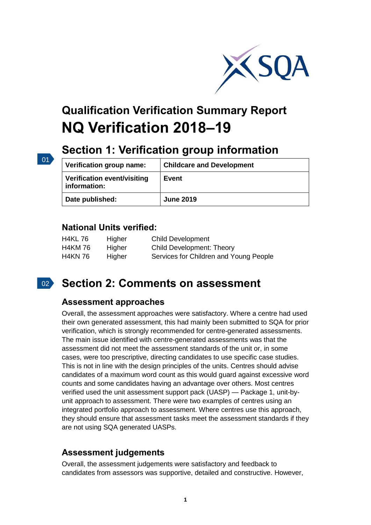

# **Qualification Verification Summary Report NQ Verification 2018–19**

# **Section 1: Verification group information**

| Verification group name:                    | <b>Childcare and Development</b> |
|---------------------------------------------|----------------------------------|
| Verification event/visiting<br>information: | Event                            |
| Date published:                             | <b>June 2019</b>                 |

## **National Units verified:**

| <b>H4KL76</b>  | Higher<br>Higher | <b>Child Development</b><br><b>Child Development: Theory</b> |
|----------------|------------------|--------------------------------------------------------------|
| <b>H4KM 76</b> |                  |                                                              |
| <b>H4KN 76</b> | Higher           | Services for Children and Young People                       |

## $\vert$  02  $\rangle$

01

## **Section 2: Comments on assessment**

#### **Assessment approaches**

Overall, the assessment approaches were satisfactory. Where a centre had used their own generated assessment, this had mainly been submitted to SQA for prior verification, which is strongly recommended for centre-generated assessments. The main issue identified with centre-generated assessments was that the assessment did not meet the assessment standards of the unit or, in some cases, were too prescriptive, directing candidates to use specific case studies. This is not in line with the design principles of the units. Centres should advise candidates of a maximum word count as this would guard against excessive word counts and some candidates having an advantage over others. Most centres verified used the unit assessment support pack (UASP) — Package 1, unit-byunit approach to assessment. There were two examples of centres using an integrated portfolio approach to assessment. Where centres use this approach, they should ensure that assessment tasks meet the assessment standards if they are not using SQA generated UASPs.

## **Assessment judgements**

Overall, the assessment judgements were satisfactory and feedback to candidates from assessors was supportive, detailed and constructive. However,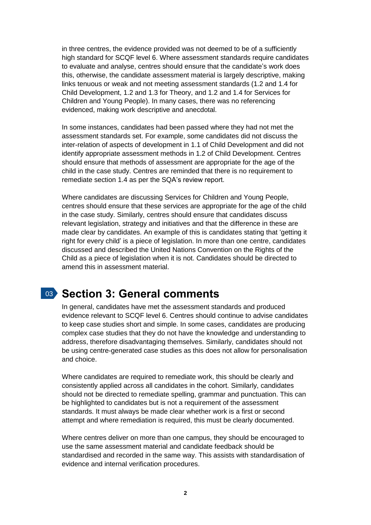in three centres, the evidence provided was not deemed to be of a sufficiently high standard for SCQF level 6. Where assessment standards require candidates to evaluate and analyse, centres should ensure that the candidate's work does this, otherwise, the candidate assessment material is largely descriptive, making links tenuous or weak and not meeting assessment standards (1.2 and 1.4 for Child Development, 1.2 and 1.3 for Theory, and 1.2 and 1.4 for Services for Children and Young People). In many cases, there was no referencing evidenced, making work descriptive and anecdotal.

In some instances, candidates had been passed where they had not met the assessment standards set. For example, some candidates did not discuss the inter-relation of aspects of development in 1.1 of Child Development and did not identify appropriate assessment methods in 1.2 of Child Development. Centres should ensure that methods of assessment are appropriate for the age of the child in the case study. Centres are reminded that there is no requirement to remediate section 1.4 as per the SQA's review report.

Where candidates are discussing Services for Children and Young People, centres should ensure that these services are appropriate for the age of the child in the case study. Similarly, centres should ensure that candidates discuss relevant legislation, strategy and initiatives and that the difference in these are made clear by candidates. An example of this is candidates stating that 'getting it right for every child' is a piece of legislation. In more than one centre, candidates discussed and described the United Nations Convention on the Rights of the Child as a piece of legislation when it is not. Candidates should be directed to amend this in assessment material.

## 03 **Section 3: General comments**

In general, candidates have met the assessment standards and produced evidence relevant to SCQF level 6. Centres should continue to advise candidates to keep case studies short and simple. In some cases, candidates are producing complex case studies that they do not have the knowledge and understanding to address, therefore disadvantaging themselves. Similarly, candidates should not be using centre-generated case studies as this does not allow for personalisation and choice.

Where candidates are required to remediate work, this should be clearly and consistently applied across all candidates in the cohort. Similarly, candidates should not be directed to remediate spelling, grammar and punctuation. This can be highlighted to candidates but is not a requirement of the assessment standards. It must always be made clear whether work is a first or second attempt and where remediation is required, this must be clearly documented.

Where centres deliver on more than one campus, they should be encouraged to use the same assessment material and candidate feedback should be standardised and recorded in the same way. This assists with standardisation of evidence and internal verification procedures.